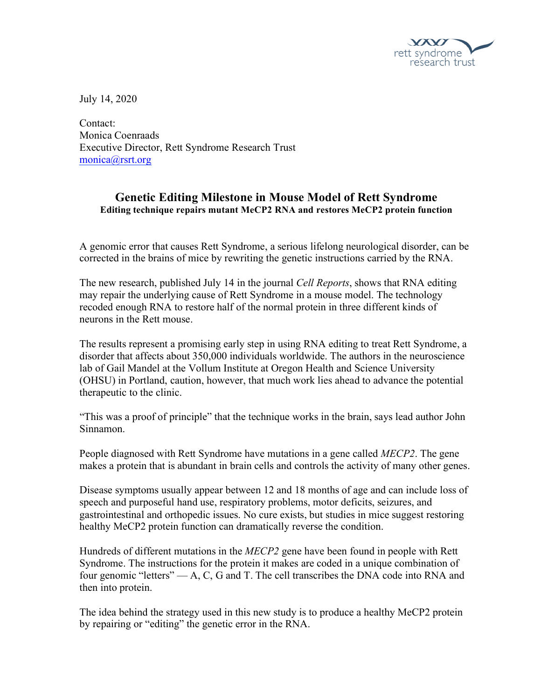

July 14, 2020

Contact: Monica Coenraads Executive Director, Rett Syndrome Research Trust monica@rsrt.org

## **Genetic Editing Milestone in Mouse Model of Rett Syndrome Editing technique repairs mutant MeCP2 RNA and restores MeCP2 protein function**

A genomic error that causes Rett Syndrome, a serious lifelong neurological disorder, can be corrected in the brains of mice by rewriting the genetic instructions carried by the RNA.

The new research, published July 14 in the journal *Cell Reports*, shows that RNA editing may repair the underlying cause of Rett Syndrome in a mouse model. The technology recoded enough RNA to restore half of the normal protein in three different kinds of neurons in the Rett mouse.

The results represent a promising early step in using RNA editing to treat Rett Syndrome, a disorder that affects about 350,000 individuals worldwide. The authors in the neuroscience lab of Gail Mandel at the Vollum Institute at Oregon Health and Science University (OHSU) in Portland, caution, however, that much work lies ahead to advance the potential therapeutic to the clinic.

"This was a proof of principle" that the technique works in the brain, says lead author John Sinnamon.

People diagnosed with Rett Syndrome have mutations in a gene called *MECP2*. The gene makes a protein that is abundant in brain cells and controls the activity of many other genes.

Disease symptoms usually appear between 12 and 18 months of age and can include loss of speech and purposeful hand use, respiratory problems, motor deficits, seizures, and gastrointestinal and orthopedic issues. No cure exists, but studies in mice suggest restoring healthy MeCP2 protein function can dramatically reverse the condition.

Hundreds of different mutations in the *MECP2* gene have been found in people with Rett Syndrome. The instructions for the protein it makes are coded in a unique combination of four genomic "letters" — A, C, G and T. The cell transcribes the DNA code into RNA and then into protein.

The idea behind the strategy used in this new study is to produce a healthy MeCP2 protein by repairing or "editing" the genetic error in the RNA.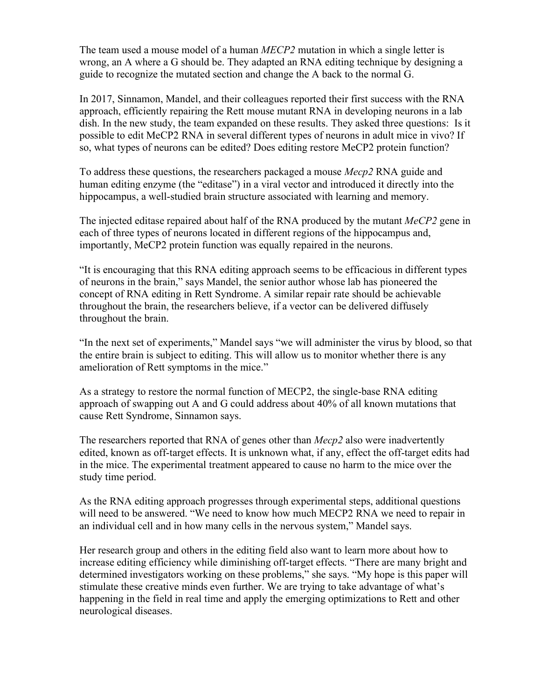The team used a mouse model of a human *MECP2* mutation in which a single letter is wrong, an A where a G should be. They adapted an RNA editing technique by designing a guide to recognize the mutated section and change the A back to the normal G.

In 2017, Sinnamon, Mandel, and their colleagues reported their first success with the RNA approach, efficiently repairing the Rett mouse mutant RNA in developing neurons in a lab dish. In the new study, the team expanded on these results. They asked three questions: Is it possible to edit MeCP2 RNA in several different types of neurons in adult mice in vivo? If so, what types of neurons can be edited? Does editing restore MeCP2 protein function?

To address these questions, the researchers packaged a mouse *Mecp2* RNA guide and human editing enzyme (the "editase") in a viral vector and introduced it directly into the hippocampus, a well-studied brain structure associated with learning and memory.

The injected editase repaired about half of the RNA produced by the mutant *MeCP2* gene in each of three types of neurons located in different regions of the hippocampus and, importantly, MeCP2 protein function was equally repaired in the neurons.

"It is encouraging that this RNA editing approach seems to be efficacious in different types of neurons in the brain," says Mandel, the senior author whose lab has pioneered the concept of RNA editing in Rett Syndrome. A similar repair rate should be achievable throughout the brain, the researchers believe, if a vector can be delivered diffusely throughout the brain.

"In the next set of experiments," Mandel says "we will administer the virus by blood, so that the entire brain is subject to editing. This will allow us to monitor whether there is any amelioration of Rett symptoms in the mice."

As a strategy to restore the normal function of MECP2, the single-base RNA editing approach of swapping out A and G could address about 40% of all known mutations that cause Rett Syndrome, Sinnamon says.

The researchers reported that RNA of genes other than *Mecp2* also were inadvertently edited, known as off-target effects. It is unknown what, if any, effect the off-target edits had in the mice. The experimental treatment appeared to cause no harm to the mice over the study time period.

As the RNA editing approach progresses through experimental steps, additional questions will need to be answered. "We need to know how much MECP2 RNA we need to repair in an individual cell and in how many cells in the nervous system," Mandel says.

Her research group and others in the editing field also want to learn more about how to increase editing efficiency while diminishing off-target effects. "There are many bright and determined investigators working on these problems," she says. "My hope is this paper will stimulate these creative minds even further. We are trying to take advantage of what's happening in the field in real time and apply the emerging optimizations to Rett and other neurological diseases.